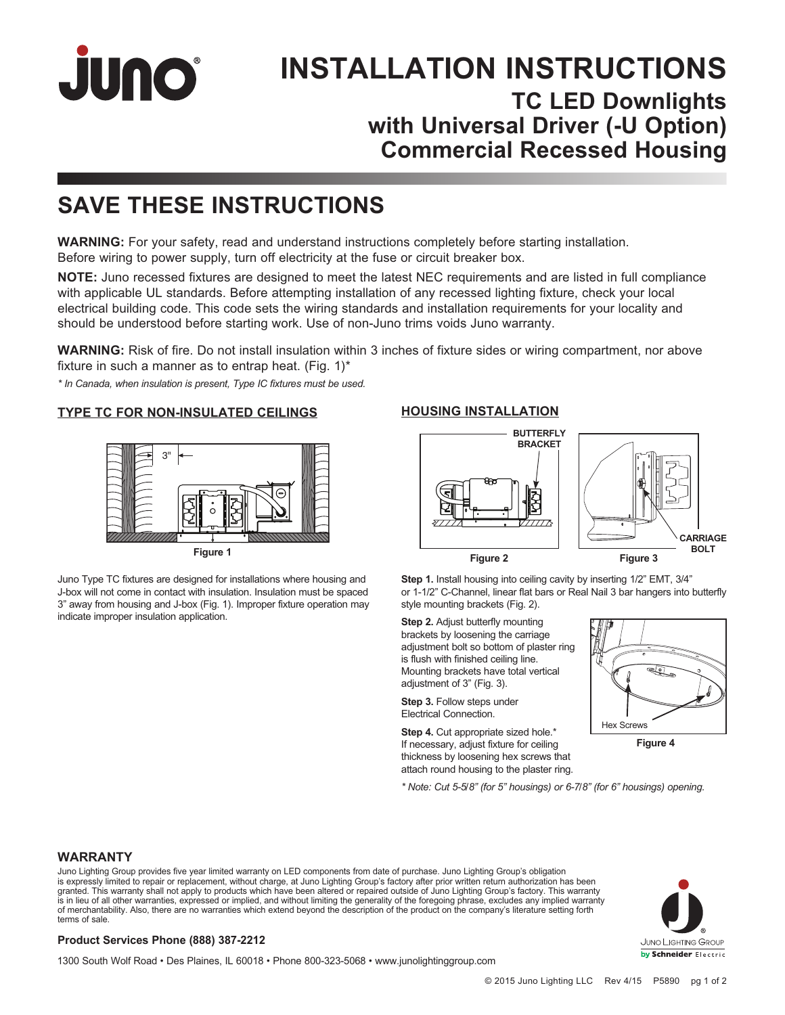

# **INSTALLATION INSTRUCTIONS TC LED Downlights with Universal Driver (-U Option) Commercial Recessed Housing**

# **SAVE THESE INSTRUCTIONS**

**WARNING:** For your safety, read and understand instructions completely before starting installation. Before wiring to power supply, turn off electricity at the fuse or circuit breaker box.

**NOTE:** Juno recessed fixtures are designed to meet the latest NEC requirements and are listed in full compliance with applicable UL standards. Before attempting installation of any recessed lighting fixture, check your local electrical building code. This code sets the wiring standards and installation requirements for your locality and should be understood before starting work. Use of non-Juno trims voids Juno warranty.

**WARNING:** Risk of fire. Do not install insulation within 3 inches of fixture sides or wiring compartment, nor above fixture in such a manner as to entrap heat. (Fig.  $1$ )\*

*\* In Canada, when insulation is present, Type IC fixtures must be used.*

**TYPE TC FOR NON-INSULATED CEILINGS**



**Figure 1**

Juno Type TC fixtures are designed for installations where housing and J-box will not come in contact with insulation. Insulation must be spaced 3" away from housing and J-box (Fig. 1). Improper fixture operation may indicate improper insulation application.

#### **HOUSING INSTALLATION**



**Step 1.** Install housing into ceiling cavity by inserting 1/2" EMT, 3/4" or 1-1/2" C-Channel, linear flat bars or Real Nail 3 bar hangers into butterfly style mounting brackets (Fig. 2).

**Step 2.** Adjust butterfly mounting brackets by loosening the carriage adjustment bolt so bottom of plaster ring is flush with finished ceiling line. Mounting brackets have total vertical adjustment of 3" (Fig. 3).

**Step 3.** Follow steps under Electrical Connection.

**Step 4.** Cut appropriate sized hole.\* If necessary, adjust fixture for ceiling thickness by loosening hex screws that attach round housing to the plaster ring.



**Figure 4**

*\* Note: Cut 5-5/8" (for 5" housings) or 6-7/8" (for 6" housings) opening.*

#### **WARRANTY**

Juno Lighting Group provides five year limited warranty on LED components from date of purchase. Juno Lighting Group's obligation is expressly limited to repair or replacement, without charge, at Juno Lighting Group's factory after prior written return authorization has been<br>granted. This warranty shall not apply to products which have been altered o is in lieu of all other warranties, expressed or implied, and without limiting the generality of the foregoing phrase, excludes any implied warranty of merchantability. Also, there are no warranties which extend beyond the description of the product on the company's literature setting forth terms of sale.

#### **Product Services Phone (888) 387-2212**

1300 South Wolf Road • Des Plaines, IL 60018 • Phone 800-323-5068 • www.junolightinggroup.com

JUNO LIGHTING GROUP by Schneider Electric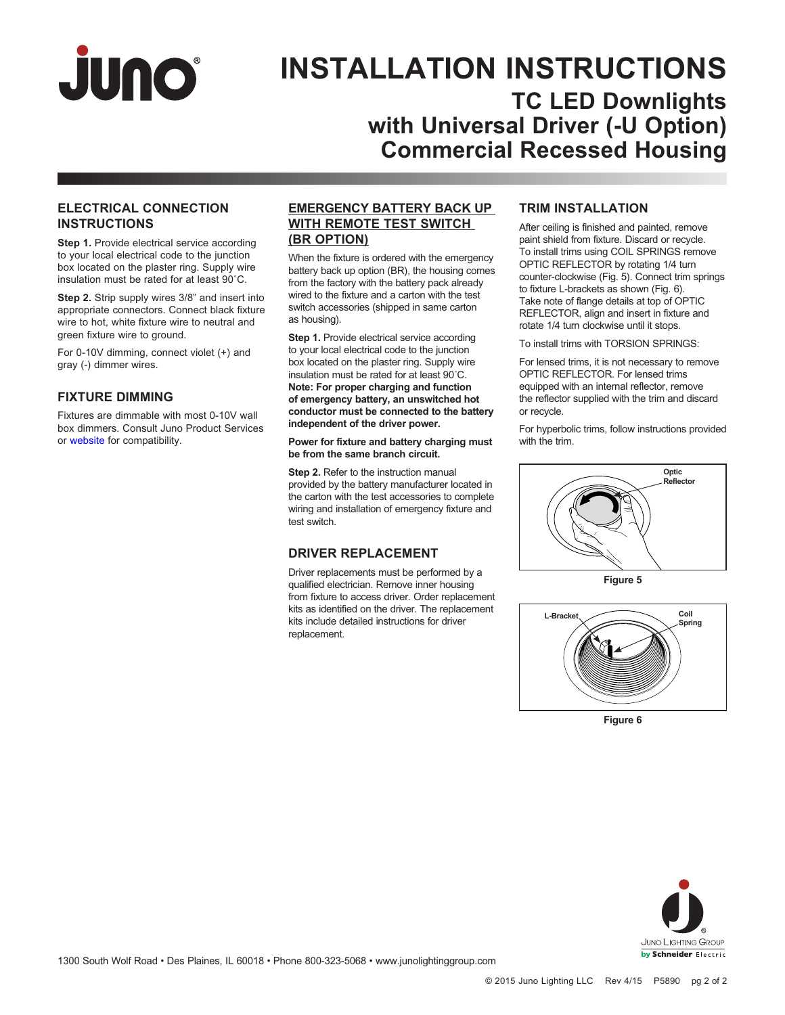

# **INSTALLATION INSTRUCTIONS TC LED Downlights with Universal Driver (-U Option) Commercial Recessed Housing**

#### **ELECTRICAL CONNECTION INSTRUCTIONS**

**Step 1.** Provide electrical service according to your local electrical code to the junction box located on the plaster ring. Supply wire insulation must be rated for at least 90˚C.

**Step 2.** Strip supply wires 3/8" and insert into appropriate connectors. Connect black fixture wire to hot, white fixture wire to neutral and green fixture wire to ground.

For 0-10V dimming, connect violet (+) and gray (-) dimmer wires.

#### **FIXTURE DIMMING**

Fixtures are dimmable with most 0-10V wall box dimmers. Consult Juno Product Services or [website](http://www.junolightinggroup.com/Attachments/images/content/SpecSheets/JUNOTCLED-DIM.pdf) for compatibility.

#### **EMERGENCY BATTERY BACK UP WITH REMOTE TEST SWITCH (BR OPTION)**

When the fixture is ordered with the emergency battery back up option (BR), the housing comes from the factory with the battery pack already wired to the fixture and a carton with the test switch accessories (shipped in same carton as housing).

**Step 1.** Provide electrical service according to your local electrical code to the junction box located on the plaster ring. Supply wire insulation must be rated for at least 90˚C. **Note: For proper charging and function of emergency battery, an unswitched hot conductor must be connected to the battery independent of the driver power.**

**Power for fixture and battery charging must be from the same branch circuit.**

**Step 2.** Refer to the instruction manual provided by the battery manufacturer located in the carton with the test accessories to complete wiring and installation of emergency fixture and test switch.

#### **DRIVER REPLACEMENT**

Driver replacements must be performed by a qualified electrician. Remove inner housing from fixture to access driver. Order replacement kits as identified on the driver. The replacement kits include detailed instructions for driver replacement.

### **TRIM INSTALLATION**

After ceiling is finished and painted, remove paint shield from fixture. Discard or recycle. To install trims using COIL SPRINGS remove OPTIC REFLECTOR by rotating 1/4 turn counter-clockwise (Fig. 5). Connect trim springs to fixture L-brackets as shown (Fig. 6). Take note of flange details at top of OPTIC REFLECTOR, align and insert in fixture and rotate 1/4 turn clockwise until it stops.

To install trims with TORSION SPRINGS:

For lensed trims, it is not necessary to remove OPTIC REFLECTOR. For lensed trims equipped with an internal reflector, remove the reflector supplied with the trim and discard or recycle.

For hyperbolic trims, follow instructions provided with the trim.



**Figure 5**



**Figure 6**

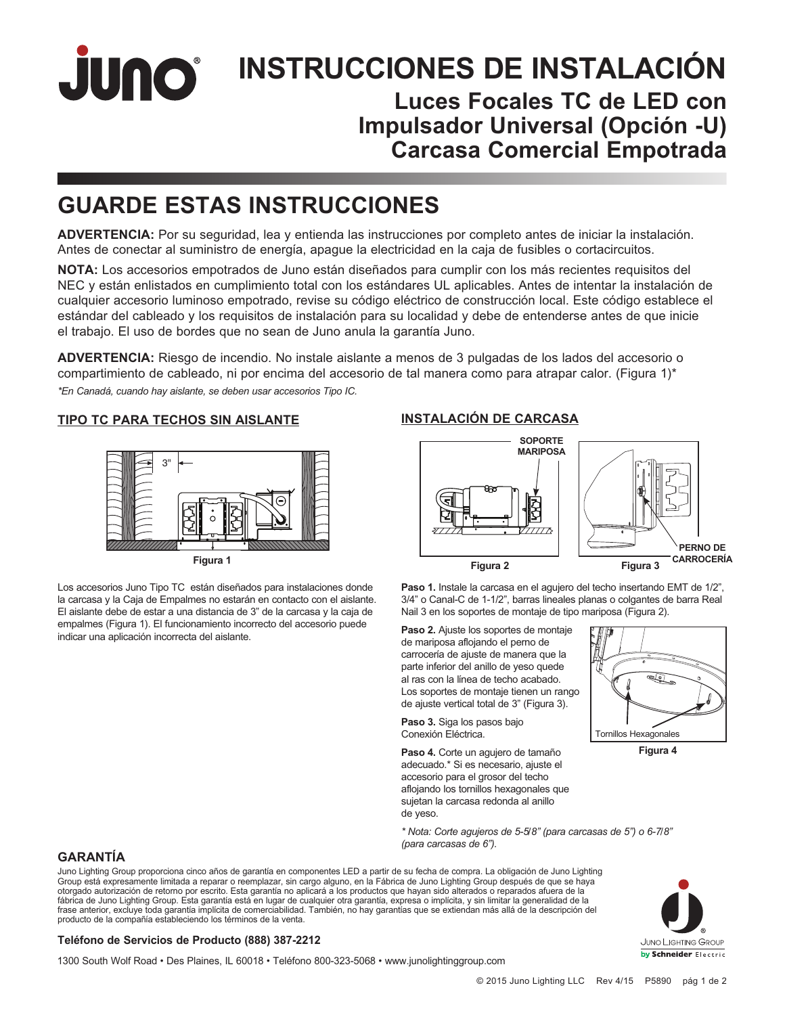JUNO® **INSTRUCCIONES DE INSTALACIÓN Luces Focales TC de LED con Impulsador Universal (Opción -U) Carcasa Comercial Empotrada**

# **GUARDE ESTAS INSTRUCCIONES**

**ADVERTENCIA:** Por su seguridad, lea y entienda las instrucciones por completo antes de iniciar la instalación. Antes de conectar al suministro de energía, apague la electricidad en la caja de fusibles o cortacircuitos.

**NOTA:** Los accesorios empotrados de Juno están diseñados para cumplir con los más recientes requisitos del NEC y están enlistados en cumplimiento total con los estándares UL aplicables. Antes de intentar la instalación de cualquier accesorio luminoso empotrado, revise su código eléctrico de construcción local. Este código establece el estándar del cableado y los requisitos de instalación para su localidad y debe de entenderse antes de que inicie el trabajo. El uso de bordes que no sean de Juno anula la garantía Juno.

**ADVERTENCIA:** Riesgo de incendio. No instale aislante a menos de 3 pulgadas de los lados del accesorio o compartimiento de cableado, ni por encima del accesorio de tal manera como para atrapar calor. (Figura 1)\* *\*En Canadá, cuando hay aislante, se deben usar accesorios Tipo IC.*

#### **TIPO TC PARA TECHOS SIN AISLANTE**



**Figura 1**

Los accesorios Juno Tipo TC están diseñados para instalaciones donde la carcasa y la Caja de Empalmes no estarán en contacto con el aislante. El aislante debe de estar a una distancia de 3" de la carcasa y la caja de empalmes (Figura 1). El funcionamiento incorrecto del accesorio puede indicar una aplicación incorrecta del aislante.

### **INSTALACIÓN DE CARCASA**



**Paso 1.** Instale la carcasa en el agujero del techo insertando EMT de 1/2", 3/4" o Canal-C de 1-1/2", barras lineales planas o colgantes de barra Real Nail 3 en los soportes de montaje de tipo mariposa (Figura 2).

**Paso 2.** Ajuste los soportes de montaje de mariposa aflojando el perno de carrocería de ajuste de manera que la parte inferior del anillo de yeso quede al ras con la línea de techo acabado. Los soportes de montaje tienen un rango de ajuste vertical total de 3" (Figura 3).

**Paso 3.** Siga los pasos bajo Conexión Eléctrica.

**Paso 4.** Corte un agujero de tamaño adecuado.\* Si es necesario, ajuste el accesorio para el grosor del techo aflojando los tornillos hexagonales que sujetan la carcasa redonda al anillo de yeso.



**Figura 4**

*\* Nota: Corte agujeros de 5-5/8" (para carcasas de 5") o 6-7/8" (para carcasas de 6").*

### **GARANTÍA**

Juno Lighting Group proporciona cinco años de garantía en componentes LED a partir de su fecha de compra. La obligación de Juno Lighting Group está expresamente limitada a reparar o reemplazar, sin cargo alguno, en la Fábrica de Juno Lighting Group después de que se haya otorgado autorización de retorno por escrito. Esta garantía no aplicará a los productos que hayan sido alterados o reparados afuera de la fábrica de Juno Lighting Group. Esta garantía está en lugar de cualquier otra garantía, expresa o implícita, y sin limitar la generalidad de la frase anterior, excluye toda garantía implícita de comerciabilidad. También, no hay garantías que se extiendan más allá de la descripción del producto de la compañía estableciendo los términos de la venta.



#### **Teléfono de Servicios de Producto (888) 387-2212**

1300 South Wolf Road • Des Plaines, IL 60018 • Teléfono 800-323-5068 • www.junolightinggroup.com